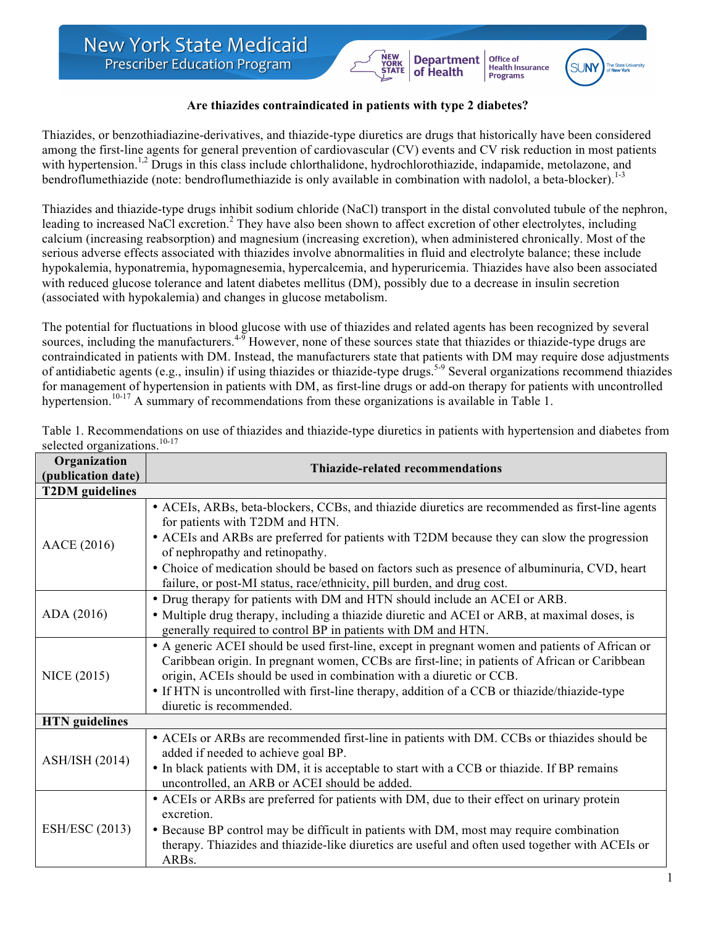## **Are thiazides contraindicated in patients with type 2 diabetes?**

**Department**<br>of Health

Office of

**Drifte of**<br>Health Insurance<br>Programs

Thiazides, or benzothiadiazine-derivatives, and thiazide-type diuretics are drugs that historically have been considered among the first-line agents for general prevention of cardiovascular (CV) events and CV risk reduction in most patients with hypertension.<sup>1,2</sup> Drugs in this class include chlorthalidone, hydrochlorothiazide, indapamide, metolazone, and bendroflumethiazide (note: bendroflumethiazide is only available in combination with nadolol, a beta-blocker).<sup>1-3</sup>

Thiazides and thiazide-type drugs inhibit sodium chloride (NaCl) transport in the distal convoluted tubule of the nephron, leading to increased NaCl excretion.<sup>2</sup> They have also been shown to affect excretion of other electrolytes, including calcium (increasing reabsorption) and magnesium (increasing excretion), when administered chronically. Most of the serious adverse effects associated with thiazides involve abnormalities in fluid and electrolyte balance; these include hypokalemia, hyponatremia, hypomagnesemia, hypercalcemia, and hyperuricemia. Thiazides have also been associated with reduced glucose tolerance and latent diabetes mellitus (DM), possibly due to a decrease in insulin secretion (associated with hypokalemia) and changes in glucose metabolism.

The potential for fluctuations in blood glucose with use of thiazides and related agents has been recognized by several sources, including the manufacturers.<sup>45</sup> However, none of these sources state that thiazides or thiazide-type drugs are contraindicated in patients with DM. Instead, the manufacturers state that patients with DM may require dose adjustments of antidiabetic agents (e.g., insulin) if using thiazides or thiazide-type drugs.5-9 Several organizations recommend thiazides for management of hypertension in patients with DM, as first-line drugs or add-on therapy for patients with uncontrolled hypertension.<sup>10-17</sup> A summary of recommendations from these organizations is available in Table 1.

| Organization<br>(publication date) | <b>Thiazide-related recommendations</b>                                                                                                                                                                                                                                                                                                                                                                                                          |  |
|------------------------------------|--------------------------------------------------------------------------------------------------------------------------------------------------------------------------------------------------------------------------------------------------------------------------------------------------------------------------------------------------------------------------------------------------------------------------------------------------|--|
| <b>T2DM</b> guidelines             |                                                                                                                                                                                                                                                                                                                                                                                                                                                  |  |
| AACE (2016)                        | • ACEIs, ARBs, beta-blockers, CCBs, and thiazide diuretics are recommended as first-line agents<br>for patients with T2DM and HTN.<br>• ACEIs and ARBs are preferred for patients with T2DM because they can slow the progression<br>of nephropathy and retinopathy.<br>• Choice of medication should be based on factors such as presence of albuminuria, CVD, heart<br>failure, or post-MI status, race/ethnicity, pill burden, and drug cost. |  |
| ADA (2016)                         | • Drug therapy for patients with DM and HTN should include an ACEI or ARB.<br>• Multiple drug therapy, including a thiazide diuretic and ACEI or ARB, at maximal doses, is<br>generally required to control BP in patients with DM and HTN.                                                                                                                                                                                                      |  |
| <b>NICE (2015)</b>                 | • A generic ACEI should be used first-line, except in pregnant women and patients of African or<br>Caribbean origin. In pregnant women, CCBs are first-line; in patients of African or Caribbean<br>origin, ACEIs should be used in combination with a diuretic or CCB.<br>• If HTN is uncontrolled with first-line therapy, addition of a CCB or thiazide/thiazide-type<br>diuretic is recommended.                                             |  |
| <b>HTN</b> guidelines              |                                                                                                                                                                                                                                                                                                                                                                                                                                                  |  |
| <b>ASH/ISH (2014)</b>              | • ACEIs or ARBs are recommended first-line in patients with DM. CCBs or thiazides should be<br>added if needed to achieve goal BP.<br>• In black patients with DM, it is acceptable to start with a CCB or thiazide. If BP remains<br>uncontrolled, an ARB or ACEI should be added.                                                                                                                                                              |  |
| <b>ESH/ESC</b> (2013)              | • ACEIs or ARBs are preferred for patients with DM, due to their effect on urinary protein<br>excretion.<br>• Because BP control may be difficult in patients with DM, most may require combination<br>therapy. Thiazides and thiazide-like diuretics are useful and often used together with ACEIs or<br>ARBs.                                                                                                                                  |  |

Table 1. Recommendations on use of thiazides and thiazide-type diuretics in patients with hypertension and diabetes from selected organizations.<sup>10-17</sup>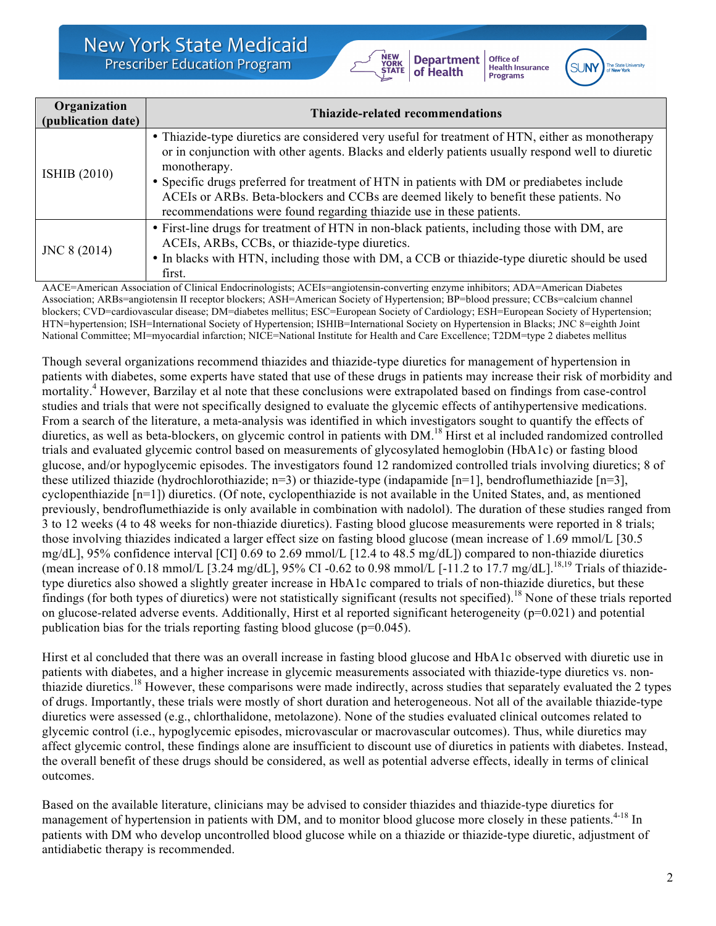

**Office of Health Insurance**<br>Programs



| Organization<br>(publication date) | Thiazide-related recommendations                                                                                                                                                                                                                                                                                                                                                                                                                                                     |
|------------------------------------|--------------------------------------------------------------------------------------------------------------------------------------------------------------------------------------------------------------------------------------------------------------------------------------------------------------------------------------------------------------------------------------------------------------------------------------------------------------------------------------|
| <b>ISHIB</b> (2010)                | • Thiazide-type diuretics are considered very useful for treatment of HTN, either as monotherapy<br>or in conjunction with other agents. Blacks and elderly patients usually respond well to diuretic<br>monotherapy.<br>• Specific drugs preferred for treatment of HTN in patients with DM or prediabetes include<br>ACEIs or ARBs. Beta-blockers and CCBs are deemed likely to benefit these patients. No<br>recommendations were found regarding thiazide use in these patients. |
| JNC 8 (2014)                       | • First-line drugs for treatment of HTN in non-black patients, including those with DM, are<br>ACEIs, ARBs, CCBs, or thiazide-type diuretics.<br>• In blacks with HTN, including those with DM, a CCB or thiazide-type diuretic should be used<br>first.                                                                                                                                                                                                                             |

AACE=American Association of Clinical Endocrinologists; ACEIs=angiotensin-converting enzyme inhibitors; ADA=American Diabetes Association; ARBs=angiotensin II receptor blockers; ASH=American Society of Hypertension; BP=blood pressure; CCBs=calcium channel blockers; CVD=cardiovascular disease; DM=diabetes mellitus; ESC=European Society of Cardiology; ESH=European Society of Hypertension; HTN=hypertension; ISH=International Society of Hypertension; ISHIB=International Society on Hypertension in Blacks; JNC 8=eighth Joint National Committee; MI=myocardial infarction; NICE=National Institute for Health and Care Excellence; T2DM=type 2 diabetes mellitus

Though several organizations recommend thiazides and thiazide-type diuretics for management of hypertension in patients with diabetes, some experts have stated that use of these drugs in patients may increase their risk of morbidity and mortality.<sup>4</sup> However, Barzilay et al note that these conclusions were extrapolated based on findings from case-control studies and trials that were not specifically designed to evaluate the glycemic effects of antihypertensive medications. From a search of the literature, a meta-analysis was identified in which investigators sought to quantify the effects of diuretics, as well as beta-blockers, on glycemic control in patients with DM.<sup>18</sup> Hirst et al included randomized controlled trials and evaluated glycemic control based on measurements of glycosylated hemoglobin (HbA1c) or fasting blood glucose, and/or hypoglycemic episodes. The investigators found 12 randomized controlled trials involving diuretics; 8 of these utilized thiazide (hydrochlorothiazide; n=3) or thiazide-type (indapamide [n=1], bendroflumethiazide [n=3], cyclopenthiazide [n=1]) diuretics. (Of note, cyclopenthiazide is not available in the United States, and, as mentioned previously, bendroflumethiazide is only available in combination with nadolol). The duration of these studies ranged from 3 to 12 weeks (4 to 48 weeks for non-thiazide diuretics). Fasting blood glucose measurements were reported in 8 trials; those involving thiazides indicated a larger effect size on fasting blood glucose (mean increase of 1.69 mmol/L [30.5 mg/dL], 95% confidence interval [CI] 0.69 to 2.69 mmol/L [12.4 to 48.5 mg/dL]) compared to non-thiazide diuretics (mean increase of 0.18 mmol/L [3.24 mg/dL], 95% CI -0.62 to 0.98 mmol/L [-11.2 to 17.7 mg/dL].<sup>18,19</sup> Trials of thiazidetype diuretics also showed a slightly greater increase in HbA1c compared to trials of non-thiazide diuretics, but these findings (for both types of diuretics) were not statistically significant (results not specified).<sup>18</sup> None of these trials reported on glucose-related adverse events. Additionally, Hirst et al reported significant heterogeneity  $(p=0.021)$  and potential publication bias for the trials reporting fasting blood glucose (p=0.045).

Hirst et al concluded that there was an overall increase in fasting blood glucose and HbA1c observed with diuretic use in patients with diabetes, and a higher increase in glycemic measurements associated with thiazide-type diuretics vs. nonthiazide diuretics.<sup>18</sup> However, these comparisons were made indirectly, across studies that separately evaluated the 2 types of drugs. Importantly, these trials were mostly of short duration and heterogeneous. Not all of the available thiazide-type diuretics were assessed (e.g., chlorthalidone, metolazone). None of the studies evaluated clinical outcomes related to glycemic control (i.e., hypoglycemic episodes, microvascular or macrovascular outcomes). Thus, while diuretics may affect glycemic control, these findings alone are insufficient to discount use of diuretics in patients with diabetes. Instead, the overall benefit of these drugs should be considered, as well as potential adverse effects, ideally in terms of clinical outcomes.

Based on the available literature, clinicians may be advised to consider thiazides and thiazide-type diuretics for management of hypertension in patients with DM, and to monitor blood glucose more closely in these patients.<sup>4-18</sup> In patients with DM who develop uncontrolled blood glucose while on a thiazide or thiazide-type diuretic, adjustment of antidiabetic therapy is recommended.